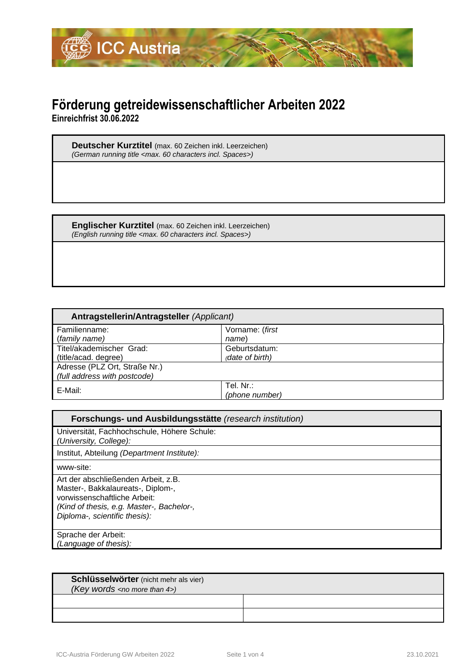

## **Förderung getreidewissenschaftlicher Arbeiten 2022**

**Einreichfrist 30.06.2022**

**Deutscher Kurztitel** (max. 60 Zeichen inkl. Leerzeichen) *(German running title <max. 60 characters incl. Spaces>)*

**Englischer Kurztitel** (max. 60 Zeichen inkl. Leerzeichen) *(English running title <max. 60 characters incl. Spaces>)*

| Antragstellerin/Antragsteller (Applicant) |                 |  |
|-------------------------------------------|-----------------|--|
| Familienname:                             | Vorname: (first |  |
| (family name)                             | name)           |  |
| Titel/akademischer Grad:                  | Geburtsdatum:   |  |
| (title/acad. degree)                      | (date of birth) |  |
| Adresse (PLZ Ort, Straße Nr.)             |                 |  |
| (full address with postcode)              |                 |  |
| E-Mail:                                   | Tel. Nr.:       |  |
|                                           | (phone number)  |  |

| Forschungs- und Ausbildungsstätte (research institution)                                                                                                                               |  |  |
|----------------------------------------------------------------------------------------------------------------------------------------------------------------------------------------|--|--|
| Universität, Fachhochschule, Höhere Schule:<br>(University, College):                                                                                                                  |  |  |
| Institut, Abteilung (Department Institute):                                                                                                                                            |  |  |
| www-site:                                                                                                                                                                              |  |  |
| Art der abschließenden Arbeit, z.B.<br>Master-, Bakkalaureats-, Diplom-,<br>vorwissenschaftliche Arbeit:<br>(Kind of thesis, e.g. Master-, Bachelor-,<br>Diploma-, scientific thesis): |  |  |
| Sprache der Arbeit:<br>(Language of thesis):                                                                                                                                           |  |  |

| Schlüsselwörter (nicht mehr als vier) |  |
|---------------------------------------|--|
| (Key words $\langle$ no more than 4>) |  |
|                                       |  |
|                                       |  |
|                                       |  |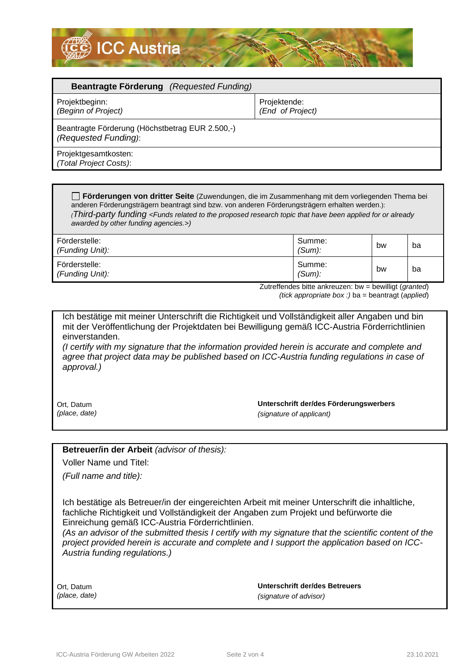

| <b>Beantragte Förderung</b> (Requested Funding)                         |                                  |  |  |  |
|-------------------------------------------------------------------------|----------------------------------|--|--|--|
| Projektbeginn:<br>(Beginn of Project)                                   | Projektende:<br>(End of Project) |  |  |  |
| Beantragte Förderung (Höchstbetrag EUR 2.500,-)<br>(Requested Funding): |                                  |  |  |  |
| Projektgesamtkosten:<br>(Total Project Costs):                          |                                  |  |  |  |

**Förderungen von dritter Seite** (Zuwendungen, die im Zusammenhang mit dem vorliegenden Thema bei anderen Förderungsträgern beantragt sind bzw. von anderen Förderungsträgern erhalten werden.): *(Third-party funding <Funds related to the proposed research topic that have been applied for or already awarded by other funding agencies.>)*

| Förderstelle:<br>(Funding Unit): | Summe:<br>$(Sum)$ : | bw | ba |
|----------------------------------|---------------------|----|----|
| Förderstelle:<br>(Funding Unit): | Summe:<br>$(Sum)$ : | bw | ba |

Zutreffendes bitte ankreuzen: bw = bewilligt (*granted*) *(tick appropriate box :)* ba = beantragt (*applied*)

Ich bestätige mit meiner Unterschrift die Richtigkeit und Vollständigkeit aller Angaben und bin mit der Veröffentlichung der Projektdaten bei Bewilligung gemäß ICC-Austria Förderrichtlinien einverstanden. *(I certify with my signature that the information provided herein is accurate and complete and* 

*agree that project data may be published based on ICC-Austria funding regulations in case of approval.)*

Ort, Datum *(place, date)*  **Unterschrift der/des Förderungswerbers**  *(signature of applicant)*

**Betreuer/in der Arbeit** *(advisor of thesis):*

Voller Name und Titel:

*(Full name and title):*

Ich bestätige als Betreuer/in der eingereichten Arbeit mit meiner Unterschrift die inhaltliche, fachliche Richtigkeit und Vollständigkeit der Angaben zum Projekt und befürworte die Einreichung gemäß ICC-Austria Förderrichtlinien.

*(As an advisor of the submitted thesis I certify with my signature that the scientific content of the project provided herein is accurate and complete and I support the application based on ICC-Austria funding regulations.)*

Ort, Datum *(place, date)*  **Unterschrift der/des Betreuers**  *(signature of advisor)*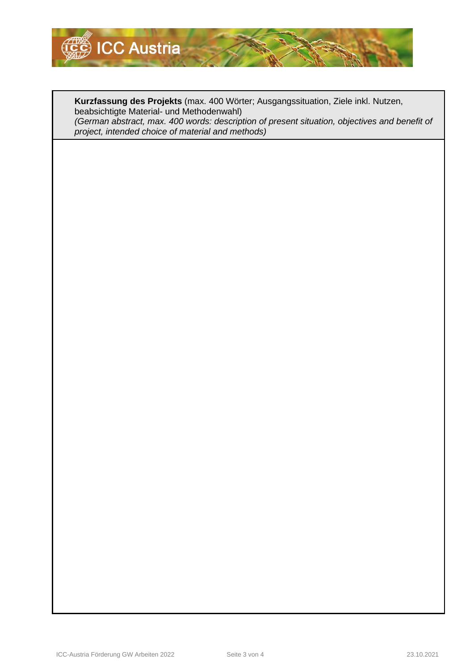

**Kurzfassung des Projekts** (max. 400 Wörter; Ausgangssituation, Ziele inkl. Nutzen, beabsichtigte Material- und Methodenwahl) *(German abstract, max. 400 words: description of present situation, objectives and benefit of project, intended choice of material and methods)*